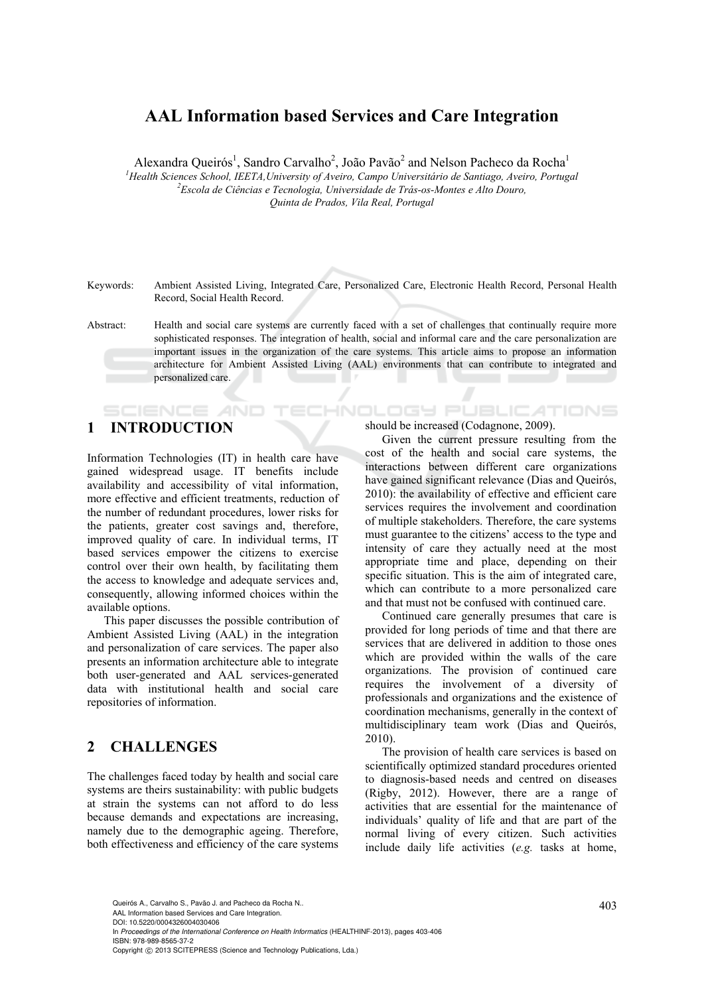## **AAL Information based Services and Care Integration**

Alexandra Queirós<sup>1</sup>, Sandro Carvalho<sup>2</sup>, João Pavão<sup>2</sup> and Nelson Pacheco da Rocha<sup>1</sup> <sup>1</sup> Health Sciences School, IEETA, University of Aveiro, Campo Universitário de Santiago, Aveiro, Portugal <sup>2</sup> Escola de Ciências e Tecnología, Universidade de Trés es Mentes e Alte Devre *Escola de Ciências e Tecnologia, Universidade de Trás-os-Montes e Alto Douro, Quinta de Prados, Vila Real, Portugal* 

Keywords: Ambient Assisted Living, Integrated Care, Personalized Care, Electronic Health Record, Personal Health Record, Social Health Record.

Abstract: Health and social care systems are currently faced with a set of challenges that continually require more sophisticated responses. The integration of health, social and informal care and the care personalization are important issues in the organization of the care systems. This article aims to propose an information architecture for Ambient Assisted Living (AAL) environments that can contribute to integrated and personalized care.

# **1 INTRODUCTION**

SCIENCE *A*ND

Information Technologies (IT) in health care have gained widespread usage. IT benefits include availability and accessibility of vital information, more effective and efficient treatments, reduction of the number of redundant procedures, lower risks for the patients, greater cost savings and, therefore, improved quality of care. In individual terms, IT based services empower the citizens to exercise control over their own health, by facilitating them the access to knowledge and adequate services and, consequently, allowing informed choices within the available options.

This paper discusses the possible contribution of Ambient Assisted Living (AAL) in the integration and personalization of care services. The paper also presents an information architecture able to integrate both user-generated and AAL services-generated data with institutional health and social care repositories of information.

## **2 CHALLENGES**

The challenges faced today by health and social care systems are theirs sustainability: with public budgets at strain the systems can not afford to do less because demands and expectations are increasing, namely due to the demographic ageing. Therefore, both effectiveness and efficiency of the care systems should be increased (Codagnone, 2009).

HNOLOGY PUBLICATIONS

Given the current pressure resulting from the cost of the health and social care systems, the interactions between different care organizations have gained significant relevance (Dias and Queirós, 2010): the availability of effective and efficient care services requires the involvement and coordination of multiple stakeholders. Therefore, the care systems must guarantee to the citizens' access to the type and intensity of care they actually need at the most appropriate time and place, depending on their specific situation. This is the aim of integrated care, which can contribute to a more personalized care and that must not be confused with continued care.

Continued care generally presumes that care is provided for long periods of time and that there are services that are delivered in addition to those ones which are provided within the walls of the care organizations. The provision of continued care requires the involvement of a diversity of professionals and organizations and the existence of coordination mechanisms, generally in the context of multidisciplinary team work (Dias and Queirós, 2010).

The provision of health care services is based on scientifically optimized standard procedures oriented to diagnosis-based needs and centred on diseases (Rigby, 2012). However, there are a range of activities that are essential for the maintenance of individuals' quality of life and that are part of the normal living of every citizen. Such activities include daily life activities (*e.g.* tasks at home,

403 Queirós A., Carvalho S., Pavão J. and Pacheco da Rocha N.. AAL Information based Services and Care Integration.

DOI: 10.5220/0004326004030406

In *Proceedings of the International Conference on Health Informatics* (HEALTHINF-2013), pages 403-406 ISBN: 978-989-8565-37-2

Copyright © 2013 SCITEPRESS (Science and Technology Publications, Lda.)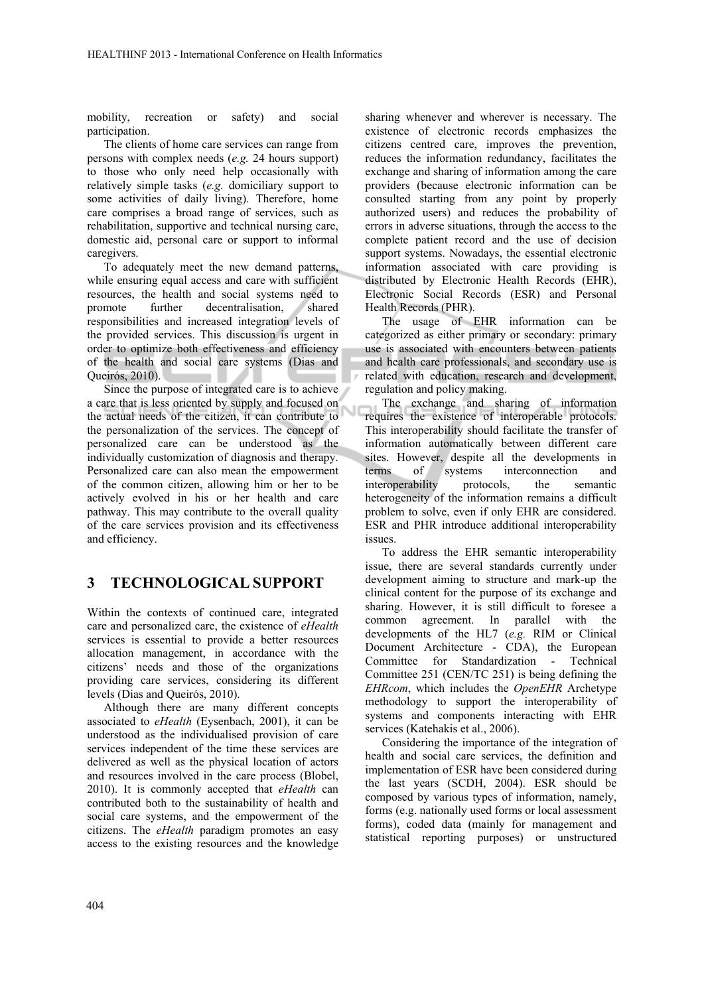mobility, recreation or safety) and social participation.

The clients of home care services can range from persons with complex needs (*e.g.* 24 hours support) to those who only need help occasionally with relatively simple tasks (*e.g.* domiciliary support to some activities of daily living). Therefore, home care comprises a broad range of services, such as rehabilitation, supportive and technical nursing care, domestic aid, personal care or support to informal caregivers.

To adequately meet the new demand patterns, while ensuring equal access and care with sufficient resources, the health and social systems need to promote further decentralisation, shared responsibilities and increased integration levels of the provided services. This discussion is urgent in order to optimize both effectiveness and efficiency of the health and social care systems (Dias and Queirós, 2010).

Since the purpose of integrated care is to achieve a care that is less oriented by supply and focused on the actual needs of the citizen, it can contribute to the personalization of the services. The concept of personalized care can be understood as the individually customization of diagnosis and therapy. Personalized care can also mean the empowerment of the common citizen, allowing him or her to be actively evolved in his or her health and care pathway. This may contribute to the overall quality of the care services provision and its effectiveness and efficiency.

#### **3 TECHNOLOGICAL SUPPORT**

Within the contexts of continued care, integrated care and personalized care, the existence of *eHealth* services is essential to provide a better resources allocation management, in accordance with the citizens' needs and those of the organizations providing care services, considering its different levels (Dias and Queirós, 2010).

Although there are many different concepts associated to *eHealth* (Eysenbach, 2001), it can be understood as the individualised provision of care services independent of the time these services are delivered as well as the physical location of actors and resources involved in the care process (Blobel, 2010). It is commonly accepted that *eHealth* can contributed both to the sustainability of health and social care systems, and the empowerment of the citizens. The *eHealth* paradigm promotes an easy access to the existing resources and the knowledge

sharing whenever and wherever is necessary. The existence of electronic records emphasizes the citizens centred care, improves the prevention, reduces the information redundancy, facilitates the exchange and sharing of information among the care providers (because electronic information can be consulted starting from any point by properly authorized users) and reduces the probability of errors in adverse situations, through the access to the complete patient record and the use of decision support systems. Nowadays, the essential electronic information associated with care providing is distributed by Electronic Health Records (EHR), Electronic Social Records (ESR) and Personal Health Records (PHR).

The usage of EHR information can be categorized as either primary or secondary: primary use is associated with encounters between patients and health care professionals, and secondary use is related with education, research and development, regulation and policy making.

The exchange and sharing of information requires the existence of interoperable protocols. This interoperability should facilitate the transfer of information automatically between different care sites. However, despite all the developments in terms of systems interconnection and interoperability protocols, the semantic heterogeneity of the information remains a difficult problem to solve, even if only EHR are considered. ESR and PHR introduce additional interoperability issues.

To address the EHR semantic interoperability issue, there are several standards currently under development aiming to structure and mark-up the clinical content for the purpose of its exchange and sharing. However, it is still difficult to foresee a common agreement. In parallel with the developments of the HL7 (*e.g.* RIM or Clinical Document Architecture - CDA), the European Committee for Standardization - Technical Committee 251 (CEN/TC 251) is being defining the *EHRcom*, which includes the *OpenEHR* Archetype methodology to support the interoperability of systems and components interacting with EHR services (Katehakis et al., 2006).

Considering the importance of the integration of health and social care services, the definition and implementation of ESR have been considered during the last years (SCDH, 2004). ESR should be composed by various types of information, namely, forms (e.g. nationally used forms or local assessment forms), coded data (mainly for management and statistical reporting purposes) or unstructured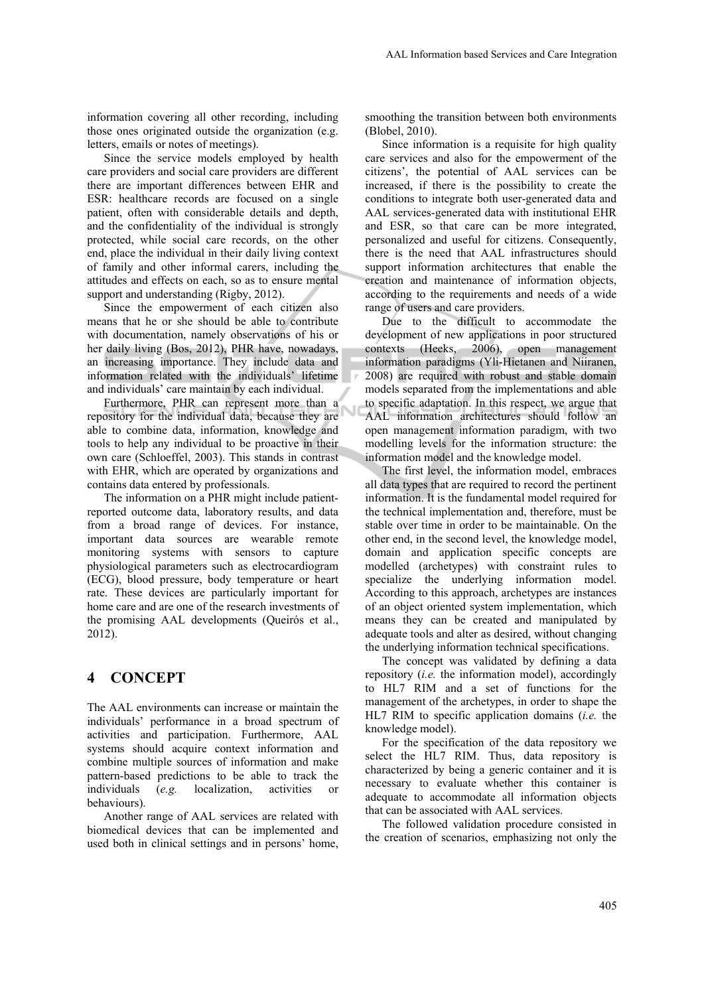information covering all other recording, including those ones originated outside the organization (e.g. letters, emails or notes of meetings).

Since the service models employed by health care providers and social care providers are different there are important differences between EHR and ESR: healthcare records are focused on a single patient, often with considerable details and depth, and the confidentiality of the individual is strongly protected, while social care records, on the other end, place the individual in their daily living context of family and other informal carers, including the attitudes and effects on each, so as to ensure mental support and understanding (Rigby, 2012).

Since the empowerment of each citizen also means that he or she should be able to contribute with documentation, namely observations of his or her daily living (Bos, 2012), PHR have, nowadays, an increasing importance. They include data and information related with the individuals' lifetime and individuals' care maintain by each individual.

Furthermore, PHR can represent more than a repository for the individual data, because they are able to combine data, information, knowledge and tools to help any individual to be proactive in their own care (Schloeffel, 2003). This stands in contrast with EHR, which are operated by organizations and contains data entered by professionals.

Ū

The information on a PHR might include patientreported outcome data, laboratory results, and data from a broad range of devices. For instance, important data sources are wearable remote monitoring systems with sensors to capture physiological parameters such as electrocardiogram (ECG), blood pressure, body temperature or heart rate. These devices are particularly important for home care and are one of the research investments of the promising AAL developments (Queirós et al., 2012).

#### **4 CONCEPT**

The AAL environments can increase or maintain the individuals' performance in a broad spectrum of activities and participation. Furthermore, AAL systems should acquire context information and combine multiple sources of information and make pattern-based predictions to be able to track the individuals (*e.g.* localization, activities or behaviours).

Another range of AAL services are related with biomedical devices that can be implemented and used both in clinical settings and in persons' home,

smoothing the transition between both environments (Blobel, 2010).

Since information is a requisite for high quality care services and also for the empowerment of the citizens', the potential of AAL services can be increased, if there is the possibility to create the conditions to integrate both user-generated data and AAL services-generated data with institutional EHR and ESR, so that care can be more integrated, personalized and useful for citizens. Consequently, there is the need that AAL infrastructures should support information architectures that enable the creation and maintenance of information objects, according to the requirements and needs of a wide range of users and care providers.

Due to the difficult to accommodate the development of new applications in poor structured contexts (Heeks, 2006), open management information paradigms (Yli-Hietanen and Niiranen, 2008) are required with robust and stable domain models separated from the implementations and able to specific adaptation. In this respect, we argue that AAL information architectures should follow an open management information paradigm, with two modelling levels for the information structure: the information model and the knowledge model.

The first level, the information model, embraces all data types that are required to record the pertinent information. It is the fundamental model required for the technical implementation and, therefore, must be stable over time in order to be maintainable. On the other end, in the second level, the knowledge model, domain and application specific concepts are modelled (archetypes) with constraint rules to specialize the underlying information model. According to this approach, archetypes are instances of an object oriented system implementation, which means they can be created and manipulated by adequate tools and alter as desired, without changing the underlying information technical specifications.

The concept was validated by defining a data repository (*i.e.* the information model), accordingly to HL7 RIM and a set of functions for the management of the archetypes, in order to shape the HL7 RIM to specific application domains (*i.e.* the knowledge model).

For the specification of the data repository we select the HL7 RIM. Thus, data repository is characterized by being a generic container and it is necessary to evaluate whether this container is adequate to accommodate all information objects that can be associated with AAL services.

The followed validation procedure consisted in the creation of scenarios, emphasizing not only the